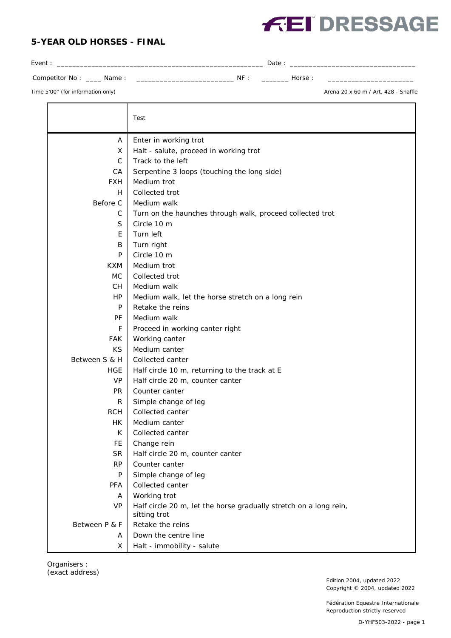## **5-YEAR OLD HORSES - FINAL**



Competitor No : \_\_\_\_ Name : \_\_\_\_\_\_\_\_\_\_\_\_\_\_\_\_\_\_\_\_\_\_\_\_\_ NF : \_\_\_\_\_\_\_ Horse : \_\_\_\_\_\_\_\_\_\_\_\_\_\_\_\_\_\_\_\_\_\_

Event : \_\_\_\_\_\_\_\_\_\_\_\_\_\_\_\_\_\_\_\_\_\_\_\_\_\_\_\_\_\_\_\_\_\_\_\_\_\_\_\_\_\_\_\_\_\_\_\_\_\_\_\_\_\_ Date : \_\_\_\_\_\_\_\_\_\_\_\_\_\_\_\_\_\_\_\_\_\_\_\_\_\_\_\_\_\_\_\_\_

Time 5'00" (for information only) and the state of the state of the state of the state of the state of the state of the state of the state of the state of the state of the state of the state of the state of the state of th

|               | Test                                                                              |  |
|---------------|-----------------------------------------------------------------------------------|--|
| A             | Enter in working trot                                                             |  |
| X             | Halt - salute, proceed in working trot                                            |  |
| $\mathsf{C}$  | Track to the left                                                                 |  |
| CA            | Serpentine 3 loops (touching the long side)                                       |  |
| <b>FXH</b>    | Medium trot                                                                       |  |
| H.            | Collected trot                                                                    |  |
| Before C      | Medium walk                                                                       |  |
| C             | Turn on the haunches through walk, proceed collected trot                         |  |
| S             | Circle 10 m                                                                       |  |
| E             | Turn left                                                                         |  |
| B             | Turn right                                                                        |  |
| P             | Circle 10 m                                                                       |  |
| <b>KXM</b>    | Medium trot                                                                       |  |
| МC            | Collected trot                                                                    |  |
| CH            | Medium walk                                                                       |  |
| HP            | Medium walk, let the horse stretch on a long rein                                 |  |
| P             | Retake the reins                                                                  |  |
| PF            | Medium walk                                                                       |  |
| F             | Proceed in working canter right                                                   |  |
| <b>FAK</b>    | Working canter                                                                    |  |
| <b>KS</b>     | Medium canter                                                                     |  |
| Between S & H | Collected canter                                                                  |  |
| <b>HGE</b>    | Half circle 10 m, returning to the track at E                                     |  |
| <b>VP</b>     | Half circle 20 m, counter canter                                                  |  |
| <b>PR</b>     | Counter canter                                                                    |  |
| R             | Simple change of leg                                                              |  |
| <b>RCH</b>    | Collected canter                                                                  |  |
| НK            | Medium canter                                                                     |  |
| K             | Collected canter                                                                  |  |
| FE            | Change rein                                                                       |  |
| <b>SR</b>     | Half circle 20 m, counter canter                                                  |  |
| <b>RP</b>     | Counter canter                                                                    |  |
| P             | Simple change of leg                                                              |  |
| PFA           | Collected canter                                                                  |  |
| A             | Working trot                                                                      |  |
| <b>VP</b>     | Half circle 20 m, let the horse gradually stretch on a long rein,<br>sitting trot |  |
| Between P & F | Retake the reins                                                                  |  |
| A             | Down the centre line                                                              |  |
| X             | Halt - immobility - salute                                                        |  |

Organisers : (exact address)

Edition 2004, updated 2022 Copyright © 2004, updated 2022

Fédération Equestre Internationale Reproduction strictly reserved